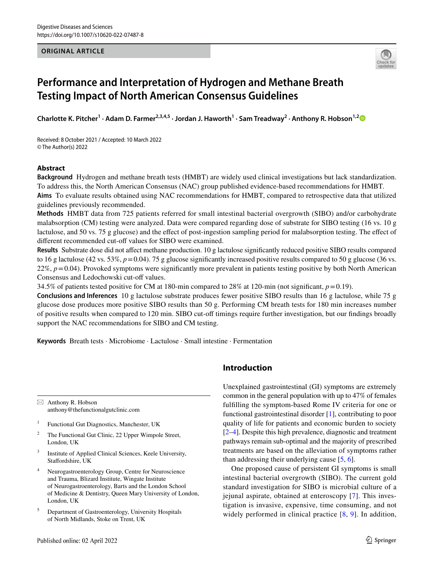### **ORIGINAL ARTICLE**



# **Performance and Interpretation of Hydrogen and Methane Breath Testing Impact of North American Consensus Guidelines**

Charlotte K. Pitcher<sup>1</sup> · Adam D. Farmer<sup>2,3,4,5</sup> · Jordan J. Haworth<sup>1</sup> · Sam Treadway<sup>2</sup> · Anthony R. Hobson<sup>1,2</sup>

Received: 8 October 2021 / Accepted: 10 March 2022 © The Author(s) 2022

## **Abstract**

**Background** Hydrogen and methane breath tests (HMBT) are widely used clinical investigations but lack standardization. To address this, the North American Consensus (NAC) group published evidence-based recommendations for HMBT. **Aims** To evaluate results obtained using NAC recommendations for HMBT, compared to retrospective data that utilized guidelines previously recommended.

**Methods** HMBT data from 725 patients referred for small intestinal bacterial overgrowth (SIBO) and/or carbohydrate malabsorption (CM) testing were analyzed. Data were compared regarding dose of substrate for SIBO testing (16 vs. 10 g lactulose, and 50 vs. 75 g glucose) and the efect of post-ingestion sampling period for malabsorption testing. The efect of different recommended cut-off values for SIBO were examined.

**Results** Substrate dose did not afect methane production. 10 g lactulose signifcantly reduced positive SIBO results compared to 16 g lactulose (42 vs. 53%, *p*=0.04). 75 g glucose signifcantly increased positive results compared to 50 g glucose (36 vs. 22%, *p*=0.04). Provoked symptoms were signifcantly more prevalent in patients testing positive by both North American Consensus and Ledochowski cut-off values.

34.5% of patients tested positive for CM at 180-min compared to 28% at 120-min (not significant,  $p=0.19$ ).

**Conclusions and Inferences** 10 g lactulose substrate produces fewer positive SIBO results than 16 g lactulose, while 75 g glucose dose produces more positive SIBO results than 50 g. Performing CM breath tests for 180 min increases number of positive results when compared to 120 min. SIBO cut-of timings require further investigation, but our fndings broadly support the NAC recommendations for SIBO and CM testing.

**Keywords** Breath tests · Microbiome · Lactulose · Small intestine · Fermentation

 $\boxtimes$  Anthony R. Hobson anthony@thefunctionalgutclinic.com

- <sup>1</sup> Functional Gut Diagnostics, Manchester, UK
- <sup>2</sup> The Functional Gut Clinic, 22 Upper Wimpole Street, London, UK
- <sup>3</sup> Institute of Applied Clinical Sciences, Keele University, Staffordshire, UK
- <sup>4</sup> Neurogastroenterology Group, Centre for Neuroscience and Trauma, Blizard Institute, Wingate Institute of Neurogastroenterology, Barts and the London School of Medicine & Dentistry, Queen Mary University of London, London, UK
- <sup>5</sup> Department of Gastroenterology, University Hospitals of North Midlands, Stoke on Trent, UK

# **Introduction**

Unexplained gastrointestinal (GI) symptoms are extremely common in the general population with up to 47% of females fulflling the symptom-based Rome IV criteria for one or functional gastrointestinal disorder [1], contributing to poor quality of life for patients and economic burden to society [2–4]. Despite this high prevalence, diagnostic and treatment pathways remain sub-optimal and the majority of prescribed treatments are based on the alleviation of symptoms rather than addressing their underlying cause [5, 6].

One proposed cause of persistent GI symptoms is small intestinal bacterial overgrowth (SIBO). The current gold standard investigation for SIBO is microbial culture of a jejunal aspirate, obtained at enteroscopy [7]. This investigation is invasive, expensive, time consuming, and not widely performed in clinical practice  $[8, 9]$ . In addition,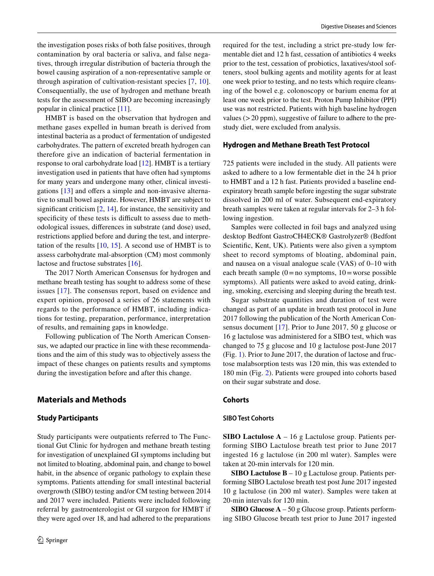the investigation poses risks of both false positives, through contamination by oral bacteria or saliva, and false negatives, through irregular distribution of bacteria through the bowel causing aspiration of a non-representative sample or through aspiration of cultivation-resistant species [7, 10]. Consequentially, the use of hydrogen and methane breath tests for the assessment of SIBO are becoming increasingly popular in clinical practice [11].

HMBT is based on the observation that hydrogen and methane gases expelled in human breath is derived from intestinal bacteria as a product of fermentation of undigested carbohydrates. The pattern of excreted breath hydrogen can therefore give an indication of bacterial fermentation in response to oral carbohydrate load [12]. HMBT is a tertiary investigation used in patients that have often had symptoms for many years and undergone many other, clinical investigations  $[13]$  and offers a simple and non-invasive alternative to small bowel aspirate. However, HMBT are subject to significant criticism  $[2, 14]$ , for instance, the sensitivity and specificity of these tests is difficult to assess due to methodological issues, diferences in substrate (and dose) used, restrictions applied before and during the test, and interpretation of the results  $[10, 15]$ . A second use of HMBT is to assess carbohydrate mal-absorption (CM) most commonly lactose and fructose substrates [16].

The 2017 North American Consensus for hydrogen and methane breath testing has sought to address some of these issues [17]. The consensus report, based on evidence and expert opinion, proposed a series of 26 statements with regards to the performance of HMBT, including indications for testing, preparation, performance, interpretation of results, and remaining gaps in knowledge.

Following publication of The North American Consensus, we adapted our practice in line with these recommendations and the aim of this study was to objectively assess the impact of these changes on patients results and symptoms during the investigation before and after this change.

# **Materials and Methods**

#### **Study Participants**

Study participants were outpatients referred to The Functional Gut Clinic for hydrogen and methane breath testing for investigation of unexplained GI symptoms including but not limited to bloating, abdominal pain, and change to bowel habit, in the absence of organic pathology to explain these symptoms. Patients attending for small intestinal bacterial overgrowth (SIBO) testing and/or CM testing between 2014 and 2017 were included. Patients were included following referral by gastroenterologist or GI surgeon for HMBT if they were aged over 18, and had adhered to the preparations required for the test, including a strict pre-study low fermentable diet and 12 h fast, cessation of antibiotics 4 weeks prior to the test, cessation of probiotics, laxatives/stool softeners, stool bulking agents and motility agents for at least one week prior to testing, and no tests which require cleansing of the bowel e.g. colonoscopy or barium enema for at least one week prior to the test. Proton Pump Inhibitor (PPI) use was not restricted. Patients with high baseline hydrogen values (>20 ppm), suggestive of failure to adhere to the prestudy diet, were excluded from analysis.

#### **Hydrogen and Methane Breath Test Protocol**

725 patients were included in the study. All patients were asked to adhere to a low fermentable diet in the 24 h prior to HMBT and a 12 h fast. Patients provided a baseline endexpiratory breath sample before ingesting the sugar substrate dissolved in 200 ml of water. Subsequent end-expiratory breath samples were taken at regular intervals for 2–3 h following ingestion.

Samples were collected in foil bags and analyzed using desktop Bedfont GastroCH4ECK® Gastrolyzer® (Bedfont Scientifc, Kent, UK). Patients were also given a symptom sheet to record symptoms of bloating, abdominal pain, and nausea on a visual analogue scale (VAS) of 0–10 with each breath sample  $(0=$  no symptoms,  $10=$  worse possible symptoms). All patients were asked to avoid eating, drinking, smoking, exercising and sleeping during the breath test.

Sugar substrate quantities and duration of test were changed as part of an update in breath test protocol in June 2017 following the publication of the North American Consensus document [17]. Prior to June 2017, 50 g glucose or 16 g lactulose was administered for a SIBO test, which was changed to 75 g glucose and 10 g lactulose post-June 2017 (Fig. 1). Prior to June 2017, the duration of lactose and fructose malabsorption tests was 120 min, this was extended to 180 min (Fig. 2). Patients were grouped into cohorts based on their sugar substrate and dose.

#### **Cohorts**

#### **SIBO Test Cohorts**

**SIBO Lactulose A** – 16 g Lactulose group. Patients performing SIBO Lactulose breath test prior to June 2017 ingested 16 g lactulose (in 200 ml water). Samples were taken at 20-min intervals for 120 min.

**SIBO Lactulose B** – 10 g Lactulose group. Patients performing SIBO Lactulose breath test post June 2017 ingested 10 g lactulose (in 200 ml water). Samples were taken at 20-min intervals for 120 min.

**SIBO Glucose A** – 50 g Glucose group. Patients performing SIBO Glucose breath test prior to June 2017 ingested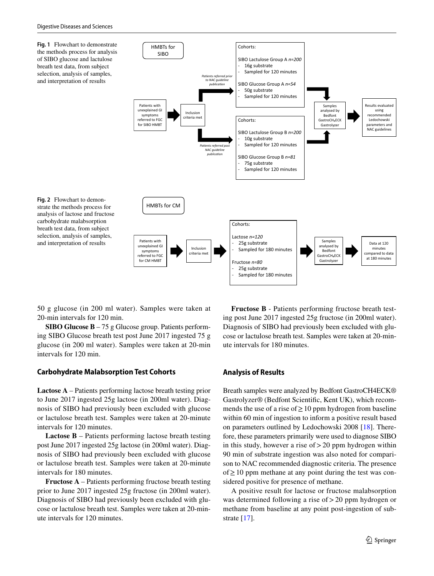**Fig. 1** Flowchart to demonstrate the methods process for analysis of SIBO glucose and lactulose breath test data, from subject selection, analysis of samples, and interpretation of results

**Fig. 2** Flowchart to demonstrate the methods process for

carbohydrate malabsorption breath test data, from subject selection, analysis of samples,



50 g glucose (in 200 ml water). Samples were taken at 20-min intervals for 120 min.

**SIBO Glucose B** – 75 g Glucose group. Patients performing SIBO Glucose breath test post June 2017 ingested 75 g glucose (in 200 ml water). Samples were taken at 20-min intervals for 120 min.

#### **Carbohydrate Malabsorption Test Cohorts**

**Lactose A** – Patients performing lactose breath testing prior to June 2017 ingested 25g lactose (in 200ml water). Diagnosis of SIBO had previously been excluded with glucose or lactulose breath test. Samples were taken at 20-minute intervals for 120 minutes.

**Lactose B** – Patients performing lactose breath testing post June 2017 ingested 25g lactose (in 200ml water). Diagnosis of SIBO had previously been excluded with glucose or lactulose breath test. Samples were taken at 20-minute intervals for 180 minutes.

**Fructose A** – Patients performing fructose breath testing prior to June 2017 ingested 25g fructose (in 200ml water). Diagnosis of SIBO had previously been excluded with glucose or lactulose breath test. Samples were taken at 20-minute intervals for 120 minutes.

**Fructose B** - Patients performing fructose breath testing post June 2017 ingested 25g fructose (in 200ml water). Diagnosis of SIBO had previously been excluded with glucose or lactulose breath test. Samples were taken at 20-minute intervals for 180 minutes.

#### **Analysis of Results**

Breath samples were analyzed by Bedfont GastroCH4ECK® Gastrolyzer® (Bedfont Scientifc, Kent UK), which recommends the use of a rise of  $\geq 10$  ppm hydrogen from baseline within 60 min of ingestion to inform a positive result based on parameters outlined by Ledochowski 2008 [18]. Therefore, these parameters primarily were used to diagnose SIBO in this study, however a rise of  $>$  20 ppm hydrogen within 90 min of substrate ingestion was also noted for comparison to NAC recommended diagnostic criteria. The presence of≥10 ppm methane at any point during the test was considered positive for presence of methane.

A positive result for lactose or fructose malabsorption was determined following a rise of > 20 ppm hydrogen or methane from baseline at any point post-ingestion of substrate [17].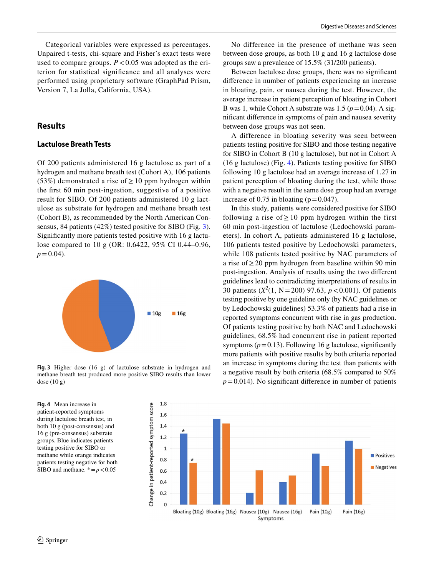Categorical variables were expressed as percentages. Unpaired t-tests, chi-square and Fisher's exact tests were used to compare groups.  $P < 0.05$  was adopted as the criterion for statistical signifcance and all analyses were performed using proprietary software (GraphPad Prism, Version 7, La Jolla, California, USA).

# **Results**

## **Lactulose Breath Tests**

Of 200 patients administered 16 g lactulose as part of a hydrogen and methane breath test (Cohort A), 106 patients (53%) demonstrated a rise of  $\geq$  10 ppm hydrogen within the frst 60 min post-ingestion, suggestive of a positive result for SIBO. Of 200 patients administered 10 g lactulose as substrate for hydrogen and methane breath test (Cohort B), as recommended by the North American Consensus, 84 patients (42%) tested positive for SIBO (Fig. 3). Signifcantly more patients tested positive with 16 g lactulose compared to 10 g (OR: 0.6422, 95% CI 0.44–0.96,  $p = 0.04$ .



**Fig. 3** Higher dose (16 g) of lactulose substrate in hydrogen and methane breath test produced more positive SIBO results than lower dose (10 g)

**Fig. 4** Mean increase in patient-reported symptoms during lactulose breath test, in both 10 g (post-consensus) and 16 g (pre-consensus) substrate groups. Blue indicates patients testing positive for SIBO or methane while orange indicates patients testing negative for both SIBO and methane.  $* = p < 0.05$ 

No difference in the presence of methane was seen between dose groups, as both 10 g and 16 g lactulose dose groups saw a prevalence of 15.5% (31/200 patients).

Between lactulose dose groups, there was no signifcant diference in number of patients experiencing an increase in bloating, pain, or nausea during the test. However, the average increase in patient perception of bloating in Cohort B was 1, while Cohort A substrate was  $1.5 (p=0.04)$ . A signifcant diference in symptoms of pain and nausea severity between dose groups was not seen.

A difference in bloating severity was seen between patients testing positive for SIBO and those testing negative for SIBO in Cohort B (10 g lactulose), but not in Cohort A (16 g lactulose) (Fig. 4). Patients testing positive for SIBO following 10 g lactulose had an average increase of 1.27 in patient perception of bloating during the test, while those with a negative result in the same dose group had an average increase of 0.75 in bloating ( $p=0.047$ ).

In this study, patients were considered positive for SIBO following a rise of  $\geq 10$  ppm hydrogen within the first 60 min post-ingestion of lactulose (Ledochowski parameters). In cohort A, patients administered 16 g lactulose, 106 patients tested positive by Ledochowski parameters, while 108 patients tested positive by NAC parameters of a rise of≥20 ppm hydrogen from baseline within 90 min post-ingestion. Analysis of results using the two diferent guidelines lead to contradicting interpretations of results in 30 patients (*X<sup>2</sup>* (1, N =200) 97.63, *p*<0.001). Of patients testing positive by one guideline only (by NAC guidelines or by Ledochowski guidelines) 53.3% of patients had a rise in reported symptoms concurrent with rise in gas production. Of patients testing positive by both NAC and Ledochowski guidelines, 68.5% had concurrent rise in patient reported symptoms  $(p=0.13)$ . Following 16 g lactulose, significantly more patients with positive results by both criteria reported an increase in symptoms during the test than patients with a negative result by both criteria (68.5% compared to 50%  $p=0.014$ ). No significant difference in number of patients

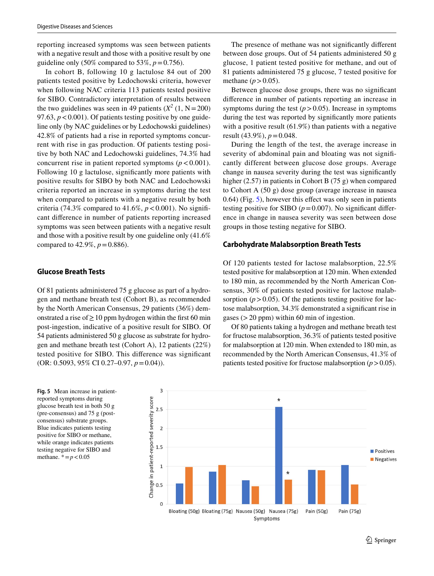reporting increased symptoms was seen between patients with a negative result and those with a positive result by one. guideline only  $(50\%$  compared to 53%,  $p = 0.756$ ).

In cohort B, following 10 g lactulose 84 out of 200 patients tested positive by Ledochowski criteria, however when following NAC criteria 113 patients tested positive for SIBO. Contradictory interpretation of results between the two guidelines was seen in 49 patients  $(X^2 (1, N=200))$ 97.63,  $p < 0.001$ ). Of patients testing positive by one guideline only (by NAC guidelines or by Ledochowski guidelines) 42.8% of patients had a rise in reported symptoms concurrent with rise in gas production. Of patients testing positive by both NAC and Ledochowski guidelines, 74.3% had concurrent rise in patient reported symptoms  $(p < 0.001)$ . Following 10 g lactulose, signifcantly more patients with positive results for SIBO by both NAC and Ledochowski criteria reported an increase in symptoms during the test when compared to patients with a negative result by both criteria (74.3% compared to 41.6%,  $p < 0.001$ ). No significant diference in number of patients reporting increased symptoms was seen between patients with a negative result and those with a positive result by one guideline only (41.6% compared to  $42.9\%$ ,  $p = 0.886$ ).

#### **Glucose Breath Tests**

Of 81 patients administered 75 g glucose as part of a hydrogen and methane breath test (Cohort B), as recommended by the North American Consensus, 29 patients (36%) demonstrated a rise of  $\geq 10$  ppm hydrogen within the first 60 min post-ingestion, indicative of a positive result for SIBO. Of 54 patients administered 50 g glucose as substrate for hydrogen and methane breath test (Cohort A), 12 patients (22%) tested positive for SIBO. This diference was signifcant (OR: 0.5093, 95% CI 0.27–0.97, *p*=0.04)).

**Fig. 5** Mean increase in patientreported symptoms during glucose breath test in both 50 g (pre-consensus) and 75 g (postconsensus) substrate groups. Blue indicates patients testing positive for SIBO or methane, while orange indicates patients testing negative for SIBO and methane.  $* = p < 0.05$ 

The presence of methane was not signifcantly diferent between dose groups. Out of 54 patients administered 50 g glucose, 1 patient tested positive for methane, and out of 81 patients administered 75 g glucose, 7 tested positive for methane  $(p>0.05)$ .

Between glucose dose groups, there was no signifcant diference in number of patients reporting an increase in symptoms during the test  $(p > 0.05)$ . Increase in symptoms during the test was reported by signifcantly more patients with a positive result (61.9%) than patients with a negative result (43.9%), *p*=0.048.

During the length of the test, the average increase in severity of abdominal pain and bloating was not signifcantly different between glucose dose groups. Average change in nausea severity during the test was signifcantly higher (2.57) in patients in Cohort B (75 g) when compared to Cohort A (50 g) dose group (average increase in nausea 0.64) (Fig. 5), however this efect was only seen in patients testing positive for SIBO  $(p=0.007)$ . No significant difference in change in nausea severity was seen between dose groups in those testing negative for SIBO.

#### **Carbohydrate Malabsorption Breath Tests**

Of 120 patients tested for lactose malabsorption, 22.5% tested positive for malabsorption at 120 min. When extended to 180 min, as recommended by the North American Consensus, 30% of patients tested positive for lactose malabsorption  $(p > 0.05)$ . Of the patients testing positive for lactose malabsorption, 34.3% demonstrated a signifcant rise in gases  $(>20$  ppm) within 60 min of ingestion.

Of 80 patients taking a hydrogen and methane breath test for fructose malabsorption, 36.3% of patients tested positive for malabsorption at 120 min. When extended to 180 min, as recommended by the North American Consensus, 41.3% of patients tested positive for fructose malabsorption  $(p > 0.05)$ .

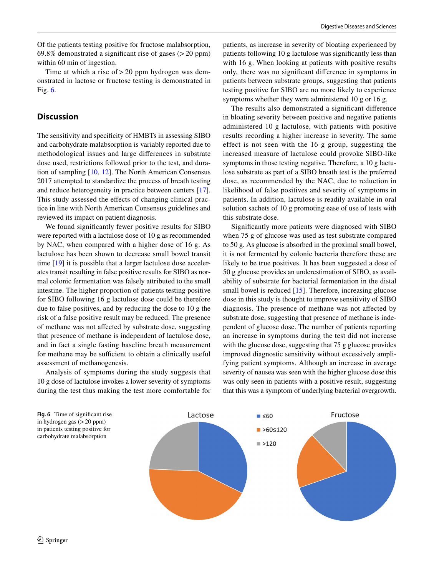Of the patients testing positive for fructose malabsorption, 69.8% demonstrated a significant rise of gases  $(>20$  ppm) within 60 min of ingestion.

Time at which a rise of  $>$  20 ppm hydrogen was demonstrated in lactose or fructose testing is demonstrated in Fig. 6.

# **Discussion**

The sensitivity and specifcity of HMBTs in assessing SIBO and carbohydrate malabsorption is variably reported due to methodological issues and large diferences in substrate dose used, restrictions followed prior to the test, and duration of sampling [10, 12]. The North American Consensus 2017 attempted to standardize the process of breath testing and reduce heterogeneity in practice between centers [17]. This study assessed the effects of changing clinical practice in line with North American Consensus guidelines and reviewed its impact on patient diagnosis.

We found signifcantly fewer positive results for SIBO were reported with a lactulose dose of 10 g as recommended by NAC, when compared with a higher dose of 16 g. As lactulose has been shown to decrease small bowel transit time [19] it is possible that a larger lactulose dose accelerates transit resulting in false positive results for SIBO as normal colonic fermentation was falsely attributed to the small intestine. The higher proportion of patients testing positive for SIBO following 16 g lactulose dose could be therefore due to false positives, and by reducing the dose to 10 g the risk of a false positive result may be reduced. The presence of methane was not afected by substrate dose, suggesting that presence of methane is independent of lactulose dose, and in fact a single fasting baseline breath measurement for methane may be sufficient to obtain a clinically useful assessment of methanogenesis.

Analysis of symptoms during the study suggests that 10 g dose of lactulose invokes a lower severity of symptoms during the test thus making the test more comfortable for patients, as increase in severity of bloating experienced by patients following 10 g lactulose was signifcantly less than with 16 g. When looking at patients with positive results only, there was no signifcant diference in symptoms in patients between substrate groups, suggesting that patients testing positive for SIBO are no more likely to experience symptoms whether they were administered 10 g or 16 g.

The results also demonstrated a signifcant diference in bloating severity between positive and negative patients administered 10 g lactulose, with patients with positive results recording a higher increase in severity. The same effect is not seen with the 16 g group, suggesting the increased measure of lactulose could provoke SIBO-like symptoms in those testing negative. Therefore, a 10 g lactulose substrate as part of a SIBO breath test is the preferred dose, as recommended by the NAC, due to reduction in likelihood of false positives and severity of symptoms in patients. In addition, lactulose is readily available in oral solution sachets of 10 g promoting ease of use of tests with this substrate dose.

Signifcantly more patients were diagnosed with SIBO when 75 g of glucose was used as test substrate compared to 50 g. As glucose is absorbed in the proximal small bowel, it is not fermented by colonic bacteria therefore these are likely to be true positives. It has been suggested a dose of 50 g glucose provides an underestimation of SIBO, as availability of substrate for bacterial fermentation in the distal small bowel is reduced [15]. Therefore, increasing glucose dose in this study is thought to improve sensitivity of SIBO diagnosis. The presence of methane was not afected by substrate dose, suggesting that presence of methane is independent of glucose dose. The number of patients reporting an increase in symptoms during the test did not increase with the glucose dose, suggesting that 75 g glucose provides improved diagnostic sensitivity without excessively amplifying patient symptoms. Although an increase in average severity of nausea was seen with the higher glucose dose this was only seen in patients with a positive result, suggesting that this was a symptom of underlying bacterial overgrowth.

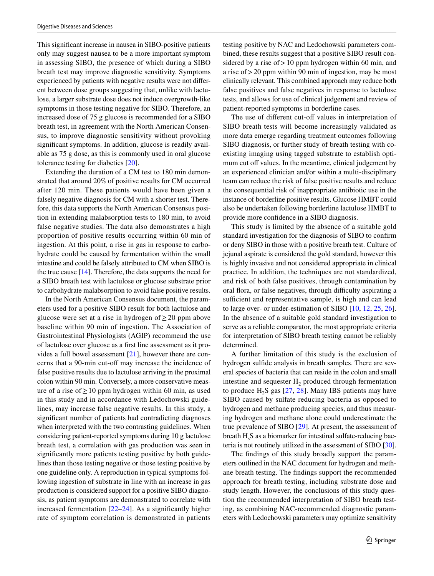This signifcant increase in nausea in SIBO-positive patients only may suggest nausea to be a more important symptom in assessing SIBO, the presence of which during a SIBO breath test may improve diagnostic sensitivity. Symptoms experienced by patients with negative results were not diferent between dose groups suggesting that, unlike with lactulose, a larger substrate dose does not induce overgrowth-like symptoms in those testing negative for SIBO. Therefore, an increased dose of 75 g glucose is recommended for a SIBO breath test, in agreement with the North American Consensus, to improve diagnostic sensitivity without provoking significant symptoms. In addition, glucose is readily available as 75 g dose, as this is commonly used in oral glucose tolerance testing for diabetics [20].

Extending the duration of a CM test to 180 min demonstrated that around 20% of positive results for CM occurred after 120 min. These patients would have been given a falsely negative diagnosis for CM with a shorter test. Therefore, this data supports the North American Consensus position in extending malabsorption tests to 180 min, to avoid false negative studies. The data also demonstrates a high proportion of positive results occurring within 60 min of ingestion. At this point, a rise in gas in response to carbohydrate could be caused by fermentation within the small intestine and could be falsely attributed to CM when SIBO is the true cause [14]. Therefore, the data supports the need for a SIBO breath test with lactulose or glucose substrate prior to carbohydrate malabsorption to avoid false positive results.

In the North American Consensus document, the parameters used for a positive SIBO result for both lactulose and glucose were set at a rise in hydrogen of  $\geq 20$  ppm above baseline within 90 min of ingestion. The Association of Gastrointestinal Physiologists (AGIP) recommend the use of lactulose over glucose as a frst line assessment as it provides a full bowel assessment [21], however there are concerns that a 90-min cut-off may increase the incidence of false positive results due to lactulose arriving in the proximal colon within 90 min. Conversely, a more conservative measure of a rise of  $\geq 10$  ppm hydrogen within 60 min, as used in this study and in accordance with Ledochowski guidelines, may increase false negative results. In this study, a signifcant number of patients had contradicting diagnoses when interpreted with the two contrasting guidelines. When considering patient-reported symptoms during 10 g lactulose breath test, a correlation with gas production was seen in signifcantly more patients testing positive by both guidelines than those testing negative or those testing positive by one guideline only. A reproduction in typical symptoms following ingestion of substrate in line with an increase in gas production is considered support for a positive SIBO diagnosis, as patient symptoms are demonstrated to correlate with increased fermentation  $[22-24]$ . As a significantly higher rate of symptom correlation is demonstrated in patients testing positive by NAC and Ledochowski parameters combined, these results suggest that a positive SIBO result considered by a rise of  $>10$  ppm hydrogen within 60 min, and a rise of>20 ppm within 90 min of ingestion, may be most clinically relevant. This combined approach may reduce both false positives and false negatives in response to lactulose tests, and allows for use of clinical judgement and review of patient-reported symptoms in borderline cases.

The use of different cut-off values in interpretation of SIBO breath tests will become increasingly validated as more data emerge regarding treatment outcomes following SIBO diagnosis, or further study of breath testing with coexisting imaging using tagged substrate to establish optimum cut off values. In the meantime, clinical judgement by an experienced clinician and/or within a multi-disciplinary team can reduce the risk of false positive results and reduce the consequential risk of inappropriate antibiotic use in the instance of borderline positive results. Glucose HMBT could also be undertaken following borderline lactulose HMBT to provide more confdence in a SIBO diagnosis.

This study is limited by the absence of a suitable gold standard investigation for the diagnosis of SIBO to confrm or deny SIBO in those with a positive breath test. Culture of jejunal aspirate is considered the gold standard, however this is highly invasive and not considered appropriate in clinical practice. In addition, the techniques are not standardized, and risk of both false positives, through contamination by oral flora, or false negatives, through difficulty aspirating a sufficient and representative sample, is high and can lead to large over- or under-estimation of SIBO [10, 12, 25, 26]. In the absence of a suitable gold standard investigation to serve as a reliable comparator, the most appropriate criteria for interpretation of SIBO breath testing cannot be reliably determined.

A further limitation of this study is the exclusion of hydrogen sulfde analysis in breath samples. There are several species of bacteria that can reside in the colon and small intestine and sequester  $H<sub>2</sub>$  produced through fermentation to produce  $H_2S$  gas [27, 28]. Many IBS patients may have SIBO caused by sulfate reducing bacteria as opposed to hydrogen and methane producing species, and thus measuring hydrogen and methane alone could underestimate the true prevalence of SIBO [29]. At present, the assessment of breath  $H<sub>s</sub>S$  as a biomarker for intestinal sulfate-reducing bacteria is not routinely utilized in the assessment of SIBO [30].

The fndings of this study broadly support the parameters outlined in the NAC document for hydrogen and methane breath testing. The fndings support the recommended approach for breath testing, including substrate dose and study length. However, the conclusions of this study question the recommended interpretation of SIBO breath testing, as combining NAC-recommended diagnostic parameters with Ledochowski parameters may optimize sensitivity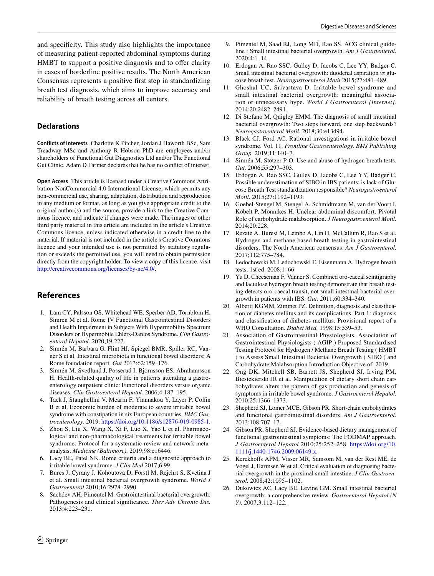and specifcity. This study also highlights the importance of measuring patient-reported abdominal symptoms during HMBT to support a positive diagnosis and to offer clarity in cases of borderline positive results. The North American Consensus represents a positive frst step in standardizing breath test diagnosis, which aims to improve accuracy and reliability of breath testing across all centers.

## **Declarations**

**Conflicts of interests** Charlotte K Pitcher, Jordan J Haworth BSc, Sam Treadway MSc and Anthony R Hobson PhD are employees and/or shareholders of Functional Gut Diagnostics Ltd and/or The Functional Gut Clinic. Adam D Farmer declares that he has no confict of interest.

**Open Access** This article is licensed under a Creative Commons Attribution-NonCommercial 4.0 International License, which permits any non-commercial use, sharing, adaptation, distribution and reproduction in any medium or format, as long as you give appropriate credit to the original author(s) and the source, provide a link to the Creative Commons licence, and indicate if changes were made. The images or other third party material in this article are included in the article's Creative Commons licence, unless indicated otherwise in a credit line to the material. If material is not included in the article's Creative Commons licence and your intended use is not permitted by statutory regulation or exceeds the permitted use, you will need to obtain permission directly from the copyright holder. To view a copy of this licence, visit http://creativecommons.org/licenses/by-nc/4.0/.

## **References**

- 1. Lam CY, Palsson OS, Whitehead WE, Sperber AD, Tornblom H, Simren M et al. Rome IV Functional Gastrointestinal Disorders and Health Impairment in Subjects With Hypermobility Spectrum Disorders or Hypermobile Ehlers-Danlos Syndrome. *Clin Gastroenterol Hepatol.* 2020;19:227.
- 2. Simrén M, Barbara G, Flint HJ, Spiegel BMR, Spiller RC, Vanner S et al. Intestinal microbiota in functional bowel disorders: A Rome foundation report. *Gut* 2013;62:159–176.
- 3. Simrén M, Svedlund J, Posserud I, Björnsson ES, Abrahamsson H. Health-related quality of life in patients attending a gastroenterology outpatient clinic: Functional disorders versus organic diseases. *Clin Gastroenterol Hepatol.* 2006;4:187–195.
- 4. Tack J, Stanghellini V, Mearin F, Yiannakou Y, Layer P, Coffin B et al. Economic burden of moderate to severe irritable bowel syndrome with constipation in six European countries. *BMC Gastroenterology*. 2019. https://doi.org/10.1186/s12876-019-0985-1.
- 5. Zhou S, Liu X, Wang X, Xi F, Luo X, Yao L et al. Pharmacological and non-pharmacological treatments for irritable bowel syndrome: Protocol for a systematic review and network metaanalysis. *Medicine (Baltimore).* 2019;98:e16446.
- 6. Lacy BE, Patel NK. Rome criteria and a diagnostic approach to irritable bowel syndrome. *J Clin Med* 2017;6:99.
- 7. Bures J, Cyrany J, Kohoutova D, Förstl M, Rejchrt S, Kvetina J et al. Small intestinal bacterial overgrowth syndrome. *World J Gastroenterol* 2010;16:2978–2990.
- 8. Sachdev AH, Pimentel M. Gastrointestinal bacterial overgrowth: Pathogenesis and clinical signifcance. *Ther Adv Chronic Dis.* 2013;4:223–231.
- 9. Pimentel M, Saad RJ, Long MD, Rao SS. ACG clinical guideline : Small intestinal bacterial overgrowth. *Am J Gastroenterol.* 2020;4:1–14.
- 10. Erdogan A, Rao SSC, Gulley D, Jacobs C, Lee YY, Badger C. Small intestinal bacterial overgrowth: duodenal aspiration *vs* glucose breath test. *Neurogastroenterol Motil* 2015;27:481–489.
- 11. Ghoshal UC, Srivastava D. Irritable bowel syndrome and small intestinal bacterial overgrowth: meaningful association or unnecessary hype. *World J Gastroenterol [Internet].* 2014;20:2482–2491.
- 12. Di Stefano M, Quigley EMM. The diagnosis of small intestinal bacterial overgrowth: Two steps forward, one step backwards? *Neurogastroenterol Motil.* 2018;30:e13494.
- 13. Black CJ, Ford AC. Rational investigations in irritable bowel syndrome. Vol. 11. *Frontline Gastroenterology. BMJ Publishing Group.* 2019;11:140–7.
- 14. Simrén M, Stotzer P-O. Use and abuse of hydrogen breath tests. *Gut.* 2006;55:297–303.
- 15. Erdogan A, Rao SSC, Gulley D, Jacobs C, Lee YY, Badger C. Possible underestimation of SIBO in IBS patients: is lack of Glucose Breath Test standardization responsible? *Neurogastroenterol Motil.* 2015;27:1192–1193.
- 16. Goebel-Stengel M, Stengel A, Schmidtmann M, van der Voort I, Kobelt P, Mönnikes H. Unclear abdominal discomfort: Pivotal Role of carbohydrate malabsorption. *J Neurogastroenterol Motil.* 2014;20:228.
- 17. Rezaie A, Buresi M, Lembo A, Lin H, McCallum R, Rao S et al. Hydrogen and methane-based breath testing in gastrointestinal disorders: The North American consensus. *Am J Gastroenterol.* 2017;112:775–784.
- 18. Ledochowski M, Ledochowski E, Eisenmann A. Hydrogen breath tests. 1st ed. 2008;1–66
- 19. Yu D, Cheeseman F, Vanner S. Combined oro-caecal scintigraphy and lactulose hydrogen breath testing demonstrate that breath testing detects oro-caecal transit, not small intestinal bacterial overgrowth in patients with IBS. *Gut.* 2011;60:334–340.
- 20. Alberti KGMM, Zimmet PZ. Defnition, diagnosis and classifcation of diabetes mellitus and its complications. Part 1: diagnosis and classifcation of diabetes mellitus. Provisional report of a WHO Consultation. *Diabet Med.* 1998;15:539–53.
- 21. Association of Gastrointestinal Physiologists. Association of Gastrointestinal Physiologists ( AGIP ) Proposed Standardised Testing Protocol for Hydrogen / Methane Breath Testing ( HMBT ) to Assess Small Intestinal Bacterial Overgrowth ( SIBO ) and Carbohydrate Malabsorption Introduction Objective of. 2019.
- 22. Ong DK, Mitchell SB, Barrett JS, Shepherd SJ, Irving PM, Biesiekierski JR et al. Manipulation of dietary short chain carbohydrates alters the pattern of gas production and genesis of symptoms in irritable bowel syndrome. *J Gastroenterol Hepatol.* 2010;25:1366–1373.
- 23. Shepherd SJ, Lomer MCE, Gibson PR. Short-chain carbohydrates and functional gastrointestinal disorders. *Am J Gastroenterol.* 2013;108:707–17.
- 24. Gibson PR, Shepherd SJ. Evidence-based dietary management of functional gastrointestinal symptoms: The FODMAP approach. *J Gastroenterol Hepatol* 2010;25:252–258. https://doi.org/10. 1111/j.1440-1746.2009.06149.x.
- 25. Kerckhofs APM, Visser MR, Samsom M, van der Rest ME, de Vogel J, Harmsen W et al. Critical evaluation of diagnosing bacterial overgrowth in the proximal small intestine. *J Clin Gastroenterol.* 2008;42:1095–1102.
- 26. Dukowicz AC, Lacy BE, Levine GM. Small intestinal bacterial overgrowth: a comprehensive review. *Gastroenterol Hepatol (N Y).* 2007;3:112–122.